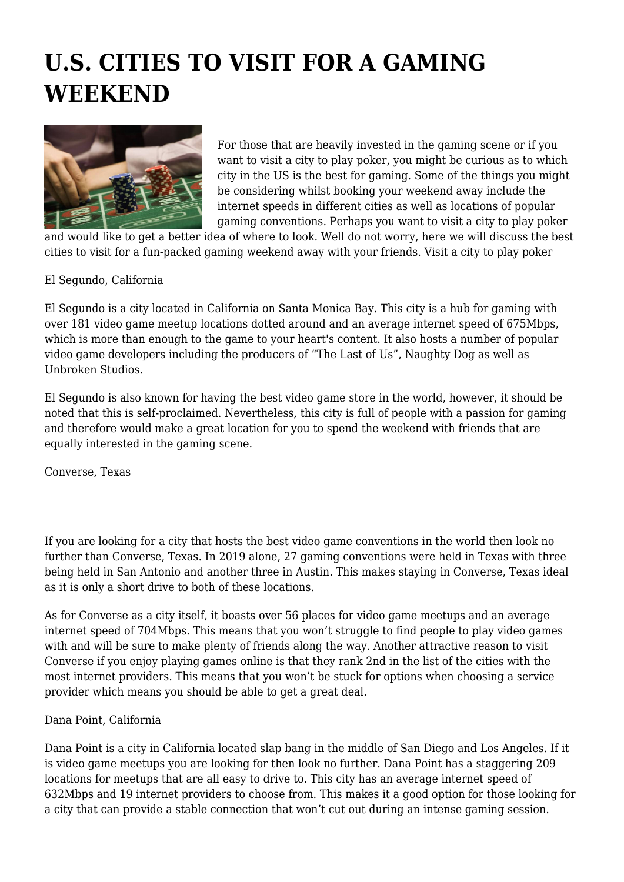# **U.S. CITIES TO VISIT FOR A GAMING WEEKEND**



For those that are heavily invested in the gaming scene or if you want to visit a city to play poker, you might be curious as to which city in the US is the best for gaming. Some of the things you might be considering whilst booking your weekend away include the internet speeds in different cities as well as locations of popular gaming conventions. Perhaps you want to visit a city to play poker

and would like to get a better idea of where to look. Well do not worry, here we will discuss the best cities to visit for a fun-packed gaming weekend away with your friends. Visit a city to play poker

El Segundo, California

El Segundo is a city located in California on Santa Monica Bay. This city is a hub for gaming with over 181 video game meetup locations dotted around and an average internet speed of 675Mbps, which is more than enough to the game to your heart's content. It also hosts a number of popular video game developers including the producers of "The Last of Us", Naughty Dog as well as Unbroken Studios.

El Segundo is also known for having the best video game store in the world, however, it should be noted that this is self-proclaimed. Nevertheless, this city is full of people with a passion for gaming and therefore would make a great location for you to spend the weekend with friends that are equally interested in the gaming scene.

Converse, Texas

If you are looking for a city that hosts the best video game conventions in the world then look no further than Converse, Texas. In 2019 alone, 27 gaming conventions were held in Texas with three being held in San Antonio and another three in Austin. This makes staying in Converse, Texas ideal as it is only a short drive to both of these locations.

As for Converse as a city itself, it boasts over 56 places for video game meetups and an average internet speed of 704Mbps. This means that you won't struggle to find people to play video games with and will be sure to make plenty of friends along the way. Another attractive reason to visit Converse if you enjoy playing games online is that they rank 2nd in the list of the cities with the most internet providers. This means that you won't be stuck for options when choosing a service provider which means you should be able to get a great deal.

# Dana Point, California

Dana Point is a city in California located slap bang in the middle of San Diego and Los Angeles. If it is video game meetups you are looking for then look no further. Dana Point has a staggering 209 locations for meetups that are all easy to drive to. This city has an average internet speed of 632Mbps and 19 internet providers to choose from. This makes it a good option for those looking for a city that can provide a stable connection that won't cut out during an intense gaming session.